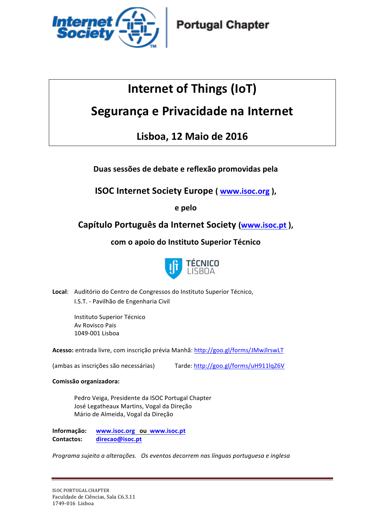

# **Internet of Things (IoT)**

# **Segurança e Privacidade na Internet**

## **Lisboa, 12 Maio de 2016**

**Duas sessões de debate e reflexão promovidas pela**

**ISOC Internet Society Europe ( www.isoc.org ),**

**e pelo**

## **Capítulo Português da Internet Society (www.isoc.pt),**

### **com o apoio do Instituto Superior Técnico**



Local: Auditório do Centro de Congressos do Instituto Superior Técnico, I.S.T. - Pavilhão de Engenharia Civil

> Instituto Superior Técnico Av Rovisco Pais 1049-001 Lisboa

Acesso: entrada livre, com inscrição prévia Manhã: http://goo.gl/forms/JMwJlrswLT

(ambas as inscrições são necessárias) Tarde: http://goo.gl/forms/uH911lqZ6V

#### **Comissão organizadora:**

Pedro Veiga, Presidente da ISOC Portugal Chapter José Legatheaux Martins, Vogal da Direção Mário de Almeida, Vogal da Direção

Informação: www.isoc.org ou www.isoc.pt **Contactos: direcao@isoc.pt**

*Programa sujeito a alterações. Os eventos decorrem nas línguas portuguesa e inglesa*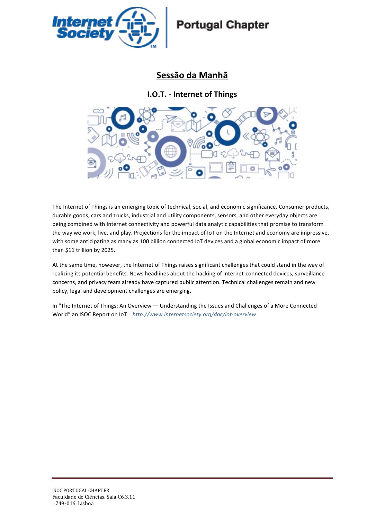

## **Portugal Chapter**

## **Sessão da Manhã**

### **I.O.T. - Internet of Things**



The Internet of Things is an emerging topic of technical, social, and economic significance. Consumer products, durable goods, cars and trucks, industrial and utility components, sensors, and other everyday objects are being combined with Internet connectivity and powerful data analytic capabilities that promise to transform the way we work, live, and play. Projections for the impact of IoT on the Internet and economy are impressive, with some anticipating as many as 100 billion connected IoT devices and a global economic impact of more than \$11 trillion by 2025.

At the same time, however, the Internet of Things raises significant challenges that could stand in the way of realizing its potential benefits. News headlines about the hacking of Internet-connected devices, surveillance concerns, and privacy fears already have captured public attention. Technical challenges remain and new policy, legal and development challenges are emerging.

In "The Internet of Things: An Overview — Understanding the Issues and Challenges of a More Connected World" an ISOC Report on IoT http://www.internetsociety.org/doc/iot-overview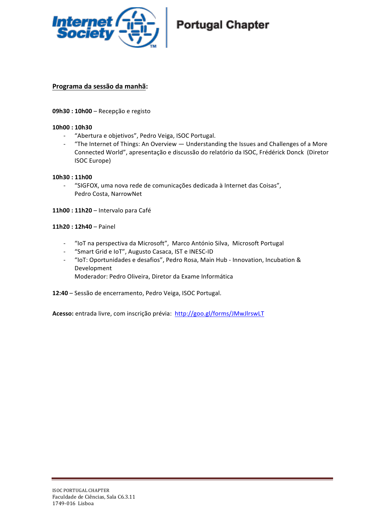

#### **Programa da sessão da manhã:**

#### 09h30 : 10h00 – Recepção e registo

#### **10h00 : 10h30**

- "Abertura e objetivos", Pedro Veiga, ISOC Portugal.
- "The Internet of Things: An Overview Understanding the Issues and Challenges of a More Connected World", apresentação e discussão do relatório da ISOC, Frédérick Donck (Diretor ISOC Europe)

#### **10h30 : 11h00**

- "SIGFOX, uma nova rede de comunicações dedicada à Internet das Coisas", Pedro Costa, NarrowNet
- **11h00 : 11h20** Intervalo para Café

#### **11h20 : 12h40** – Painel

- "IoT na perspectiva da Microsoft", Marco António Silva, Microsoft Portugal
- "Smart Grid e IoT", Augusto Casaca, IST e INESC-ID
- "IoT: Oportunidades e desafios", Pedro Rosa, Main Hub Innovation, Incubation & Development Moderador: Pedro Oliveira, Diretor da Exame Informática
- 12:40 Sessão de encerramento, Pedro Veiga, ISOC Portugal.

Acesso: entrada livre, com inscrição prévia: http://goo.gl/forms/JMwJlrswLT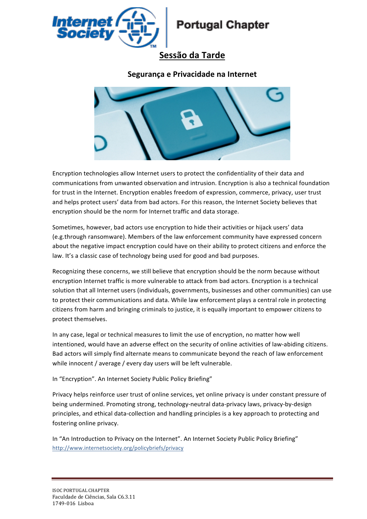

## **Portugal Chapter**

## **Sessão da Tarde**

### **Segurança e Privacidade na Internet**



Encryption technologies allow Internet users to protect the confidentiality of their data and communications from unwanted observation and intrusion. Encryption is also a technical foundation for trust in the Internet. Encryption enables freedom of expression, commerce, privacy, user trust and helps protect users' data from bad actors. For this reason, the Internet Society believes that encryption should be the norm for Internet traffic and data storage.

Sometimes, however, bad actors use encryption to hide their activities or hijack users' data (e.g.through ransomware). Members of the law enforcement community have expressed concern about the negative impact encryption could have on their ability to protect citizens and enforce the law. It's a classic case of technology being used for good and bad purposes.

Recognizing these concerns, we still believe that encryption should be the norm because without encryption Internet traffic is more vulnerable to attack from bad actors. Encryption is a technical solution that all Internet users (individuals, governments, businesses and other communities) can use to protect their communications and data. While law enforcement plays a central role in protecting citizens from harm and bringing criminals to justice, it is equally important to empower citizens to protect themselves.

In any case, legal or technical measures to limit the use of encryption, no matter how well intentioned, would have an adverse effect on the security of online activities of law-abiding citizens. Bad actors will simply find alternate means to communicate beyond the reach of law enforcement while innocent / average / every day users will be left vulnerable.

In "Encryption". An Internet Society Public Policy Briefing"

Privacy helps reinforce user trust of online services, yet online privacy is under constant pressure of being undermined. Promoting strong, technology-neutral data-privacy laws, privacy-by-design principles, and ethical data-collection and handling principles is a key approach to protecting and fostering online privacy.

In "An Introduction to Privacy on the Internet". An Internet Society Public Policy Briefing" http://www.internetsociety.org/policybriefs/privacy